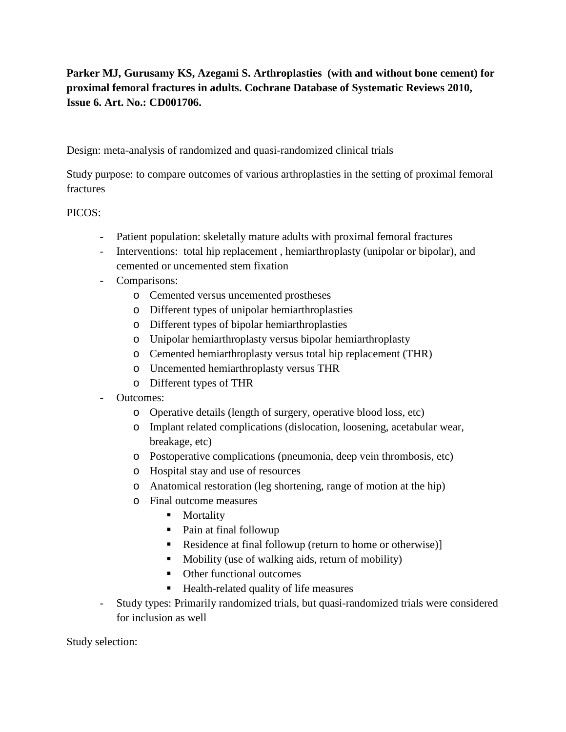**Parker MJ, Gurusamy KS, Azegami S. Arthroplasties (with and without bone cement) for proximal femoral fractures in adults. Cochrane Database of Systematic Reviews 2010, Issue 6. Art. No.: CD001706.**

Design: meta-analysis of randomized and quasi-randomized clinical trials

Study purpose: to compare outcomes of various arthroplasties in the setting of proximal femoral fractures

PICOS:

- Patient population: skeletally mature adults with proximal femoral fractures
- Interventions: total hip replacement , hemiarthroplasty (unipolar or bipolar), and cemented or uncemented stem fixation
- Comparisons:
	- o Cemented versus uncemented prostheses
	- o Different types of unipolar hemiarthroplasties
	- o Different types of bipolar hemiarthroplasties
	- o Unipolar hemiarthroplasty versus bipolar hemiarthroplasty
	- o Cemented hemiarthroplasty versus total hip replacement (THR)
	- o Uncemented hemiarthroplasty versus THR
	- o Different types of THR
- Outcomes:
	- o Operative details (length of surgery, operative blood loss, etc)
	- o Implant related complications (dislocation, loosening, acetabular wear, breakage, etc)
	- o Postoperative complications (pneumonia, deep vein thrombosis, etc)
	- o Hospital stay and use of resources
	- o Anatomical restoration (leg shortening, range of motion at the hip)
	- o Final outcome measures
		- **Mortality**
		- Pain at final followup
		- Residence at final followup (return to home or otherwise)]
		- Mobility (use of walking aids, return of mobility)
		- Other functional outcomes
		- Health-related quality of life measures
- Study types: Primarily randomized trials, but quasi-randomized trials were considered for inclusion as well

Study selection: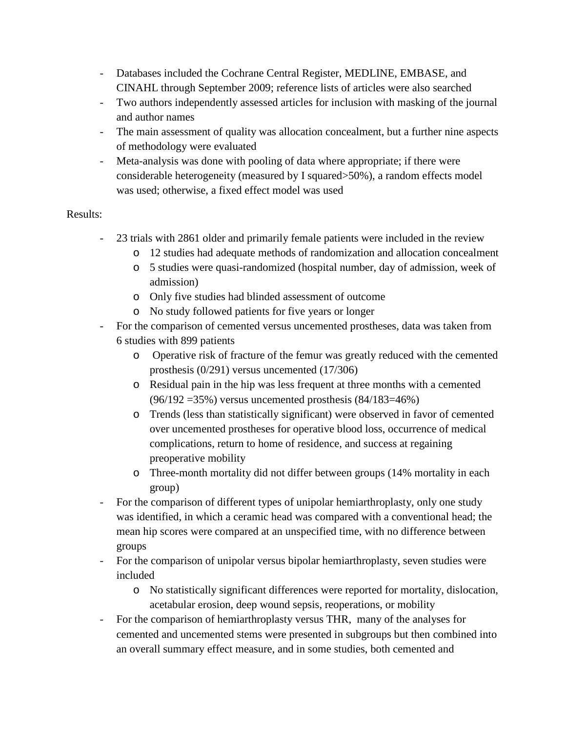- Databases included the Cochrane Central Register, MEDLINE, EMBASE, and CINAHL through September 2009; reference lists of articles were also searched
- Two authors independently assessed articles for inclusion with masking of the journal and author names
- The main assessment of quality was allocation concealment, but a further nine aspects of methodology were evaluated
- Meta-analysis was done with pooling of data where appropriate; if there were considerable heterogeneity (measured by I squared>50%), a random effects model was used; otherwise, a fixed effect model was used

## Results:

- 23 trials with 2861 older and primarily female patients were included in the review
	- o 12 studies had adequate methods of randomization and allocation concealment
	- o 5 studies were quasi-randomized (hospital number, day of admission, week of admission)
	- o Only five studies had blinded assessment of outcome
	- o No study followed patients for five years or longer
- For the comparison of cemented versus uncemented prostheses, data was taken from 6 studies with 899 patients
	- o Operative risk of fracture of the femur was greatly reduced with the cemented prosthesis (0/291) versus uncemented (17/306)
	- o Residual pain in the hip was less frequent at three months with a cemented (96/192 =35%) versus uncemented prosthesis (84/183=46%)
	- o Trends (less than statistically significant) were observed in favor of cemented over uncemented prostheses for operative blood loss, occurrence of medical complications, return to home of residence, and success at regaining preoperative mobility
	- o Three-month mortality did not differ between groups (14% mortality in each group)
- For the comparison of different types of unipolar hemiarthroplasty, only one study was identified, in which a ceramic head was compared with a conventional head; the mean hip scores were compared at an unspecified time, with no difference between groups
- For the comparison of unipolar versus bipolar hemiarthroplasty, seven studies were included
	- o No statistically significant differences were reported for mortality, dislocation, acetabular erosion, deep wound sepsis, reoperations, or mobility
- For the comparison of hemiarthroplasty versus THR, many of the analyses for cemented and uncemented stems were presented in subgroups but then combined into an overall summary effect measure, and in some studies, both cemented and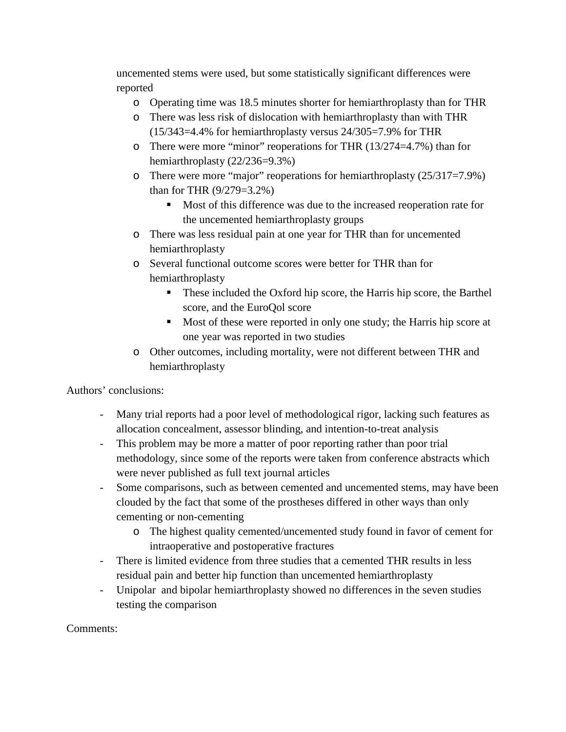uncemented stems were used, but some statistically significant differences were reported

- o Operating time was 18.5 minutes shorter for hemiarthroplasty than for THR
- o There was less risk of dislocation with hemiarthroplasty than with THR (15/343=4.4% for hemiarthroplasty versus 24/305=7.9% for THR
- o There were more "minor" reoperations for THR (13/274=4.7%) than for hemiarthroplasty (22/236=9.3%)
- o There were more "major" reoperations for hemiarthroplasty (25/317=7.9%) than for THR (9/279=3.2%)
	- Most of this difference was due to the increased reoperation rate for the uncemented hemiarthroplasty groups
- o There was less residual pain at one year for THR than for uncemented hemiarthroplasty
- o Several functional outcome scores were better for THR than for hemiarthroplasty
	- These included the Oxford hip score, the Harris hip score, the Barthel score, and the EuroQol score
	- Most of these were reported in only one study; the Harris hip score at one year was reported in two studies
- o Other outcomes, including mortality, were not different between THR and hemiarthroplasty

Authors' conclusions:

- Many trial reports had a poor level of methodological rigor, lacking such features as allocation concealment, assessor blinding, and intention-to-treat analysis
- This problem may be more a matter of poor reporting rather than poor trial methodology, since some of the reports were taken from conference abstracts which were never published as full text journal articles
- Some comparisons, such as between cemented and uncemented stems, may have been clouded by the fact that some of the prostheses differed in other ways than only cementing or non-cementing
	- o The highest quality cemented/uncemented study found in favor of cement for intraoperative and postoperative fractures
- There is limited evidence from three studies that a cemented THR results in less residual pain and better hip function than uncemented hemiarthroplasty
- Unipolar and bipolar hemiarthroplasty showed no differences in the seven studies testing the comparison

Comments: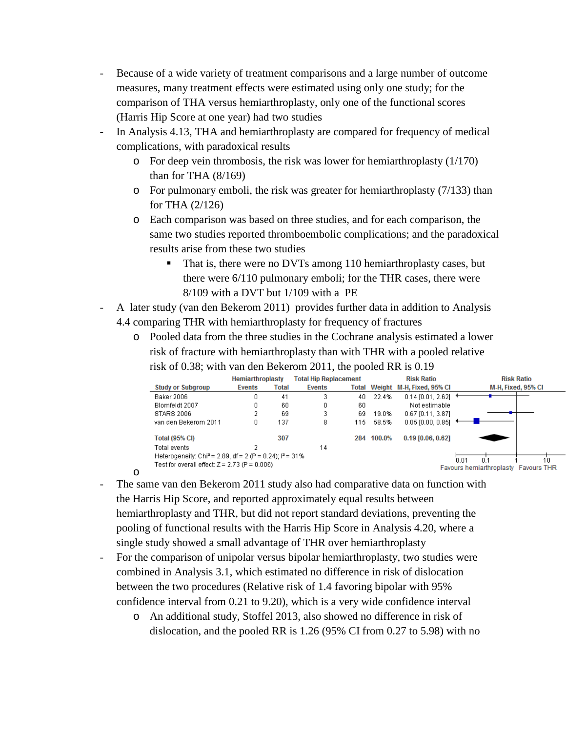- Because of a wide variety of treatment comparisons and a large number of outcome measures, many treatment effects were estimated using only one study; for the comparison of THA versus hemiarthroplasty, only one of the functional scores (Harris Hip Score at one year) had two studies
- In Analysis 4.13, THA and hemiarthroplasty are compared for frequency of medical complications, with paradoxical results
	- o For deep vein thrombosis, the risk was lower for hemiarthroplasty (1/170) than for THA (8/169)
	- o For pulmonary emboli, the risk was greater for hemiarthroplasty (7/133) than for THA (2/126)
	- o Each comparison was based on three studies, and for each comparison, the same two studies reported thromboembolic complications; and the paradoxical results arise from these two studies
		- That is, there were no DVTs among 110 hemiarthroplasty cases, but there were 6/110 pulmonary emboli; for the THR cases, there were 8/109 with a DVT but 1/109 with a PE
- A later study (van den Bekerom 2011) provides further data in addition to Analysis 4.4 comparing THR with hemiarthroplasty for frequency of fractures
	- o Pooled data from the three studies in the Cochrane analysis estimated a lower risk of fracture with hemiarthroplasty than with THR with a pooled relative risk of 0.38; with van den Bekerom 2011, the pooled RR is 0.19

|                                                                       | <b>Hemiarthroplasty</b> |       | <b>Total Hip Replacement</b> |     |        | <b>Risk Ratio</b>               | <b>Risk Ratio</b>                    |
|-----------------------------------------------------------------------|-------------------------|-------|------------------------------|-----|--------|---------------------------------|--------------------------------------|
| <b>Study or Subgroup</b>                                              | Events                  | Total | Events                       |     |        | Total Weight M-H, Fixed, 95% CI | M-H, Fixed, 95% CI                   |
| Baker 2006                                                            |                         | 41    | 3                            | 40  | 22.4%  | $0.14$ $[0.01, 2.62]$           |                                      |
| Blomfeldt 2007                                                        |                         | 60    | 0                            | 60  |        | Not estimable                   |                                      |
| STARS 2006                                                            |                         | 69    | 3                            | 69  | 19.0%  | $0.67$ [0.11, 3.87]             |                                      |
| van den Bekerom 2011                                                  |                         | 137   | 8                            | 115 | 58.5%  | $0.05$ [0.00, 0.85]             |                                      |
| <b>Total (95% CI)</b>                                                 |                         | 307   |                              | 284 | 100.0% | $0.19$ [0.06, 0.62]             |                                      |
| Total events                                                          |                         |       | 14                           |     |        |                                 |                                      |
| Heterogeneity: Chi <sup>2</sup> = 2.89, df = 2 (P = 0.24); $P = 31\%$ |                         |       |                              |     |        |                                 | 0.01<br>n٠<br>10                     |
| Test for overall effect: Z = 2.73 (P = 0.006).                        |                         |       |                              |     |        |                                 | Favours hemiarthroplasty Favours THR |

- The same van den Bekerom 2011 study also had comparative data on function with the Harris Hip Score, and reported approximately equal results between hemiarthroplasty and THR, but did not report standard deviations, preventing the pooling of functional results with the Harris Hip Score in Analysis 4.20, where a single study showed a small advantage of THR over hemiarthroplasty

o

- For the comparison of unipolar versus bipolar hemiarthroplasty, two studies were combined in Analysis 3.1, which estimated no difference in risk of dislocation between the two procedures (Relative risk of 1.4 favoring bipolar with 95% confidence interval from 0.21 to 9.20), which is a very wide confidence interval
	- o An additional study, Stoffel 2013, also showed no difference in risk of dislocation, and the pooled RR is 1.26 (95% CI from 0.27 to 5.98) with no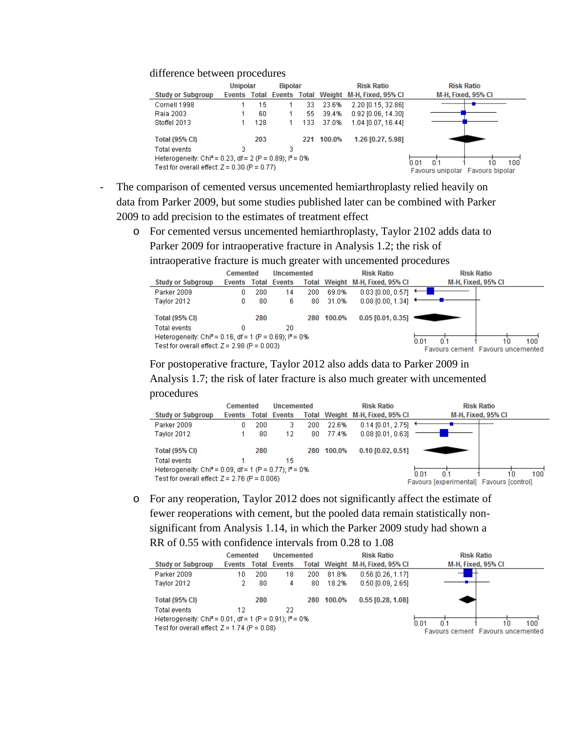## difference between procedures

|                                                                             | <b>Unipolar</b>                                         |     | <b>Bipolar</b> |     |            | <b>Risk Ratio</b>                                   | <b>Risk Ratio</b>  |  |  |  |
|-----------------------------------------------------------------------------|---------------------------------------------------------|-----|----------------|-----|------------|-----------------------------------------------------|--------------------|--|--|--|
| <b>Study or Subgroup</b>                                                    |                                                         |     |                |     |            | Events Total Events Total Weight M-H, Fixed, 95% CI | M-H, Fixed, 95% CI |  |  |  |
| Cornell 1998                                                                |                                                         | 15  |                | 33. | 23.6%      | 2.20 [0.15, 32.86]                                  |                    |  |  |  |
| Raia 2003                                                                   |                                                         | 60  |                | 55. | 39.4%      | $0.92$ [0.06, 14.30]                                |                    |  |  |  |
| Stoffel 2013                                                                |                                                         | 128 |                | 133 | 37.0%      | 1.04 [0.07, 16.44]                                  |                    |  |  |  |
| <b>Total (95% CI)</b>                                                       |                                                         | 203 |                |     | 221 100.0% | 1.26 [0.27, 5.98]                                   |                    |  |  |  |
| Total events                                                                | 3                                                       |     | 3              |     |            |                                                     |                    |  |  |  |
| Heterogeneity: Chi <sup>2</sup> = 0.23, df = 2 (P = 0.89); $P = 0\%$<br>n 1 |                                                         |     |                |     |            |                                                     |                    |  |  |  |
| Test for overall effect: $Z = 0.30$ (P = 0.77)                              | 100<br>N N 1<br>1 N<br>Favours unipolar Favours bipolar |     |                |     |            |                                                     |                    |  |  |  |

- The comparison of cemented versus uncemented hemiarthroplasty relied heavily on data from Parker 2009, but some studies published later can be combined with Parker 2009 to add precision to the estimates of treatment effect
	- o For cemented versus uncemented hemiarthroplasty, Taylor 2102 adds data to Parker 2009 for intraoperative fracture in Analysis 1.2; the risk of

intraoperative fracture is much greater with uncemented procedures

|                                                                      | Cemented |     | Uncemented          |     |        | <b>Risk Ratio</b>               | <b>Risk Ratio</b>                                      |  |  |  |
|----------------------------------------------------------------------|----------|-----|---------------------|-----|--------|---------------------------------|--------------------------------------------------------|--|--|--|
| <b>Study or Subgroup</b>                                             |          |     | Events Total Events |     |        | Total Weight M-H, Fixed, 95% CI | M-H, Fixed, 95% CI                                     |  |  |  |
| Parker 2009                                                          | 0.       | 200 | 14                  | 200 | 69.0%  | $0.03$ [0.00, 0.57]             |                                                        |  |  |  |
| Tavlor 2012                                                          | ۵        | 80  | 6.                  | 80  | 31.0%  | $0.08$ [0.00, 1.34] $\pm$       |                                                        |  |  |  |
| <b>Total (95% CI)</b>                                                |          | 280 |                     | 280 | 100.0% | $0.05$ [0.01, 0.35]             |                                                        |  |  |  |
| Total events                                                         |          |     | 20                  |     |        |                                 |                                                        |  |  |  |
| Heterogeneity: Chi <sup>2</sup> = 0.16, df = 1 (P = 0.69); $P = 0\%$ |          |     |                     |     |        |                                 |                                                        |  |  |  |
| Test for overall effect: $Z = 2.98$ (P = 0.003)                      |          |     |                     |     |        |                                 | 100<br>n n1<br>10<br>Favours cement Favours uncemented |  |  |  |

For postoperative fracture, Taylor 2012 also adds data to Parker 2009 in

Analysis 1.7; the risk of later fracture is also much greater with uncemented procedures

|                                                                      | <b>Cemented</b> |     | <b>Uncemented</b>   |     |        | <b>Risk Ratio</b>               | <b>Risk Ratio</b>                        |                    |  |  |
|----------------------------------------------------------------------|-----------------|-----|---------------------|-----|--------|---------------------------------|------------------------------------------|--------------------|--|--|
| <b>Study or Subgroup</b>                                             |                 |     | Events Total Events |     |        | Total Weight M-H, Fixed, 95% CI |                                          | M-H, Fixed, 95% CI |  |  |
| Parker 2009                                                          |                 | 200 |                     | 200 | 22.6%  | $0.14$ [0.01, 2.75]             |                                          |                    |  |  |
| Taylor 2012                                                          |                 | 80  | 12                  | 80  | 77.4%  | $0.08$ [0.01, 0.63]             |                                          |                    |  |  |
| <b>Total (95% CI)</b>                                                |                 | 280 |                     | 280 | 100.0% | $0.10$ [0.02, 0.51]             |                                          |                    |  |  |
| Total events                                                         |                 |     | 15                  |     |        |                                 |                                          |                    |  |  |
| Heterogeneity: Chi <sup>2</sup> = 0.09, df = 1 (P = 0.77); $P = 0\%$ |                 |     |                     |     |        | N N 1                           | 100<br>10                                |                    |  |  |
| Test for overall effect: $Z = 2.76$ (P = 0.006)                      |                 |     |                     |     |        |                                 | Favours [experimental] Favours [control] |                    |  |  |

o For any reoperation, Taylor 2012 does not significantly affect the estimate of fewer reoperations with cement, but the pooled data remain statistically nonsignificant from Analysis 1.14, in which the Parker 2009 study had shown a RR of 0.55 with confidence intervals from 0.28 to 1.08

|                                                                                                                        | <b>Cemented</b> |     | Uncemented          |                          |            | <b>Risk Ratio</b>               | <b>Risk Ratio</b>                 |  |  |  |
|------------------------------------------------------------------------------------------------------------------------|-----------------|-----|---------------------|--------------------------|------------|---------------------------------|-----------------------------------|--|--|--|
| <b>Study or Subgroup</b>                                                                                               |                 |     | Events Total Events |                          |            | Total Weight M-H, Fixed, 95% CI | M-H, Fixed, 95% CI                |  |  |  |
| Parker 2009                                                                                                            | 10              | 200 | 18                  | 200                      | 81.8%      | $0.56$ [0.26, 1.17]             |                                   |  |  |  |
| Tavlor 2012                                                                                                            |                 | 80  | 4                   | 80                       | 18.2%      | $0.50$ [0.09, 2.65]             |                                   |  |  |  |
| <b>Total (95% CI)</b>                                                                                                  |                 | 280 |                     |                          | 280 100.0% | $0.55$ [0.28, 1.08]             |                                   |  |  |  |
| Total events                                                                                                           | 12              |     | 22                  |                          |            |                                 |                                   |  |  |  |
| Heterogeneity: Chi <sup>2</sup> = 0.01, df = 1 (P = 0.91); $P = 0\%$<br>Test for overall effect: $Z = 1.74$ (P = 0.08) |                 |     |                     | 100<br>0.01<br>D.1<br>10 |            |                                 |                                   |  |  |  |
|                                                                                                                        |                 |     |                     |                          |            |                                 | Favours cement Favours uncemented |  |  |  |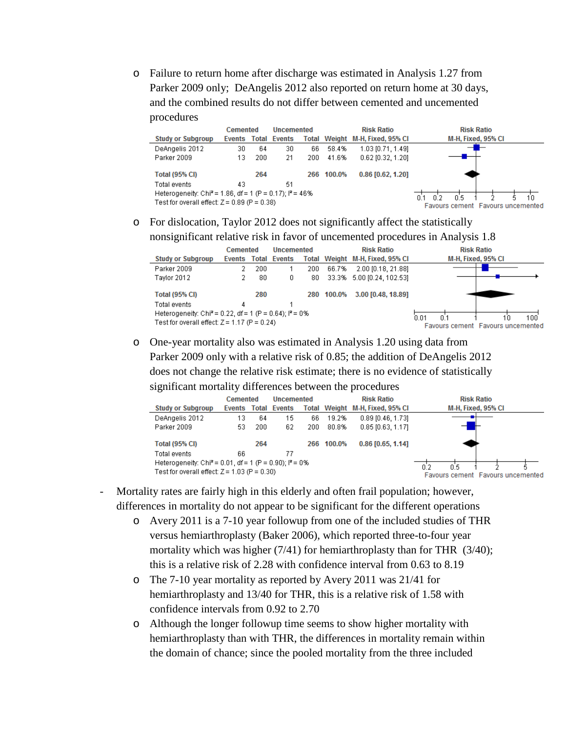o Failure to return home after discharge was estimated in Analysis 1.27 from Parker 2009 only; DeAngelis 2012 also reported on return home at 30 days, and the combined results do not differ between cemented and uncemented procedures

|                                                                       | <b>Cemented</b> |                                   | Uncemented          |      |            | <b>Risk Ratio</b>               | <b>Risk Ratio</b>  |
|-----------------------------------------------------------------------|-----------------|-----------------------------------|---------------------|------|------------|---------------------------------|--------------------|
| <b>Study or Subgroup</b>                                              | Events          |                                   | <b>Total Events</b> |      |            | Total Weight M-H, Fixed, 95% CI | M-H, Fixed, 95% CI |
| DeAngelis 2012                                                        | 30              | 64                                | 30                  | 66   | 58.4%      | 1.03 [0.71, 1.49]               |                    |
| Parker 2009                                                           | 13              | 200                               | 21                  | 200. | 41.6%      | $0.62$ [0.32, 1.20]             |                    |
| Total (95% CI)                                                        |                 | 264                               |                     |      | 266 100.0% | $0.86$ [0.62, 1.20]             |                    |
| Total events                                                          | 43              |                                   | 51                  |      |            |                                 |                    |
| Heterogeneity: Chi <sup>2</sup> = 1.86, df = 1 (P = 0.17); $P = 46\%$ |                 | 0.5<br>በ 2<br>10                  |                     |      |            |                                 |                    |
| Test for overall effect: $Z = 0.89$ (P = 0.38)                        |                 | Favours cement Favours uncemented |                     |      |            |                                 |                    |

o For dislocation, Taylor 2012 does not significantly affect the statistically nonsignificant relative risk in favor of uncemented procedures in Analysis 1.8

| ت                                                                                                                      |          |     |                     |     |                   |                                 |                                                        |
|------------------------------------------------------------------------------------------------------------------------|----------|-----|---------------------|-----|-------------------|---------------------------------|--------------------------------------------------------|
|                                                                                                                        | Cemented |     | <b>Uncemented</b>   |     | <b>Risk Ratio</b> |                                 | <b>Risk Ratio</b>                                      |
| <b>Study or Subgroup</b>                                                                                               |          |     | Events Total Events |     |                   | Total Weight M-H, Fixed, 95% CI | M-H, Fixed, 95% CI                                     |
| Parker 2009                                                                                                            |          | 200 |                     | 200 | 66.7%             | 2.00 [0.18, 21.88]              |                                                        |
| Taylor 2012                                                                                                            |          | 80  | 0                   | 80. |                   | 33.3% 5.00 [0.24, 102.53]       |                                                        |
| <b>Total (95% CI)</b>                                                                                                  |          | 280 |                     |     | 280 100.0%        | 3.00 [0.48, 18.89]              |                                                        |
| Total events                                                                                                           | 4        |     |                     |     |                   |                                 |                                                        |
| Heterogeneity: Chi <sup>2</sup> = 0.22, df = 1 (P = 0.64); $P = 0\%$<br>Test for overall effect: $Z = 1.17$ (P = 0.24) |          |     |                     |     |                   |                                 | 100<br>0.01<br>10<br>Favours cement Favours uncemented |
|                                                                                                                        |          |     |                     |     |                   |                                 |                                                        |

o One-year mortality also was estimated in Analysis 1.20 using data from Parker 2009 only with a relative risk of 0.85; the addition of DeAngelis 2012 does not change the relative risk estimate; there is no evidence of statistically significant mortality differences between the procedures

|                                                                      |              | Cemented                          |        | <b>Uncemented</b> |            | <b>Risk Ratio</b>               | <b>Risk Ratio</b>  |
|----------------------------------------------------------------------|--------------|-----------------------------------|--------|-------------------|------------|---------------------------------|--------------------|
| <b>Study or Subgroup</b>                                             | Events Total |                                   | Events |                   |            | Total Weight M-H, Fixed, 95% CI | M-H, Fixed, 95% CI |
| DeAngelis 2012                                                       | 13           | 64                                | 15     | 66                | 19.2%      | $0.89$ [0.46, 1.73]             |                    |
| Parker 2009                                                          | 53           | 200                               | 62     | 200.              | 80.8%      | $0.85$ [0.63, 1.17]             |                    |
| <b>Total (95% CI)</b>                                                |              | 264                               |        |                   | 266 100.0% | $0.86$ [0.65, 1.14]             |                    |
| Total events                                                         | 66           |                                   | 77     |                   |            |                                 |                    |
| Heterogeneity: Chi <sup>2</sup> = 0.01, df = 1 (P = 0.90); $P = 0\%$ |              | 0.5<br>0.2                        |        |                   |            |                                 |                    |
| Test for overall effect: $Z = 1.03$ (P = 0.30)                       |              | Favours cement Favours uncemented |        |                   |            |                                 |                    |

- Mortality rates are fairly high in this elderly and often frail population; however, differences in mortality do not appear to be significant for the different operations
	- o Avery 2011 is a 7-10 year followup from one of the included studies of THR versus hemiarthroplasty (Baker 2006), which reported three-to-four year mortality which was higher (7/41) for hemiarthroplasty than for THR (3/40); this is a relative risk of 2.28 with confidence interval from 0.63 to 8.19
	- o The 7-10 year mortality as reported by Avery 2011 was 21/41 for hemiarthroplasty and 13/40 for THR, this is a relative risk of 1.58 with confidence intervals from 0.92 to 2.70
	- o Although the longer followup time seems to show higher mortality with hemiarthroplasty than with THR, the differences in mortality remain within the domain of chance; since the pooled mortality from the three included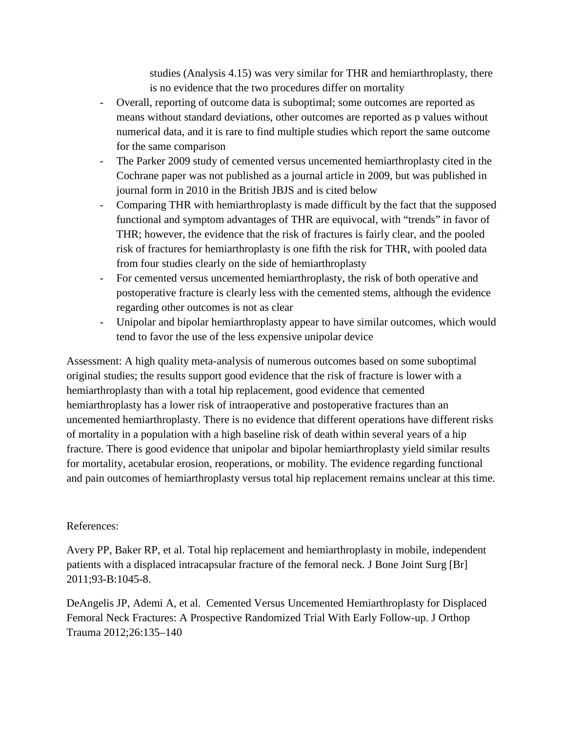studies (Analysis 4.15) was very similar for THR and hemiarthroplasty, there is no evidence that the two procedures differ on mortality

- Overall, reporting of outcome data is suboptimal; some outcomes are reported as means without standard deviations, other outcomes are reported as p values without numerical data, and it is rare to find multiple studies which report the same outcome for the same comparison
- The Parker 2009 study of cemented versus uncemented hemiarthroplasty cited in the Cochrane paper was not published as a journal article in 2009, but was published in journal form in 2010 in the British JBJS and is cited below
- Comparing THR with hemiarthroplasty is made difficult by the fact that the supposed functional and symptom advantages of THR are equivocal, with "trends" in favor of THR; however, the evidence that the risk of fractures is fairly clear, and the pooled risk of fractures for hemiarthroplasty is one fifth the risk for THR, with pooled data from four studies clearly on the side of hemiarthroplasty
- For cemented versus uncemented hemiarthroplasty, the risk of both operative and postoperative fracture is clearly less with the cemented stems, although the evidence regarding other outcomes is not as clear
- Unipolar and bipolar hemiarthroplasty appear to have similar outcomes, which would tend to favor the use of the less expensive unipolar device

Assessment: A high quality meta-analysis of numerous outcomes based on some suboptimal original studies; the results support good evidence that the risk of fracture is lower with a hemiarthroplasty than with a total hip replacement, good evidence that cemented hemiarthroplasty has a lower risk of intraoperative and postoperative fractures than an uncemented hemiarthroplasty. There is no evidence that different operations have different risks of mortality in a population with a high baseline risk of death within several years of a hip fracture. There is good evidence that unipolar and bipolar hemiarthroplasty yield similar results for mortality, acetabular erosion, reoperations, or mobility. The evidence regarding functional and pain outcomes of hemiarthroplasty versus total hip replacement remains unclear at this time.

## References:

Avery PP, Baker RP, et al. Total hip replacement and hemiarthroplasty in mobile, independent patients with a displaced intracapsular fracture of the femoral neck. J Bone Joint Surg [Br] 2011;93-B:1045-8.

DeAngelis JP, Ademi A, et al. Cemented Versus Uncemented Hemiarthroplasty for Displaced Femoral Neck Fractures: A Prospective Randomized Trial With Early Follow-up. J Orthop Trauma 2012;26:135–140